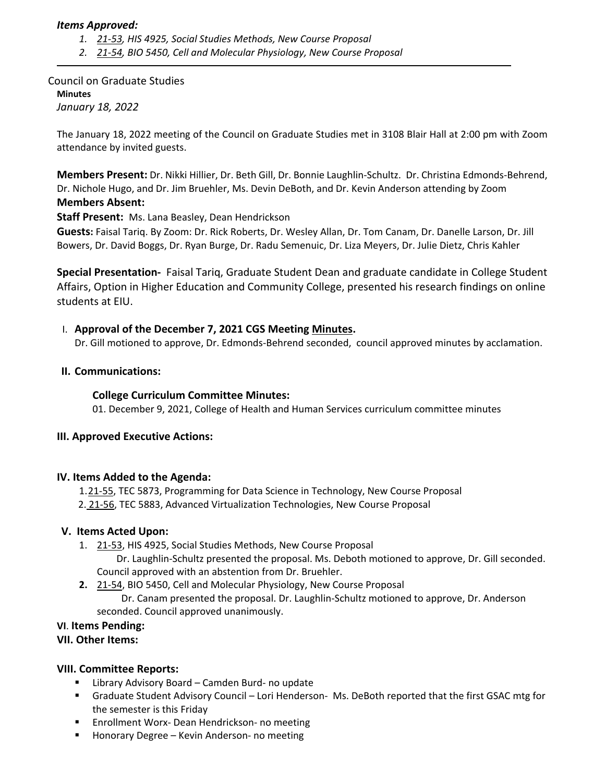### *Items Approved:*

- *1. 21‐[53,](https://castle.eiu.edu/eiucgs/currentagendaitems/agenda21-53.pdf) HIS 4925, Social Studies Methods, New Course Proposal*
- *2. 21‐[54,](https://castle.eiu.edu/eiucgs/currentagendaitems/agenda21-54.pdf) BIO 5450, Cell and Molecular Physiology, New Course Proposal*

Council on Graduate Studies **Minutes** *January 18, 2022*

The January 18, 2022 meeting of the Council on Graduate Studies met in 3108 Blair Hall at 2:00 pm with Zoom attendance by invited guests.

**Members Present:** Dr. Nikki Hillier, Dr. Beth Gill, Dr. Bonnie Laughlin‐Schultz. Dr. Christina Edmonds‐Behrend, Dr. Nichole Hugo, and Dr. Jim Bruehler, Ms. Devin DeBoth, and Dr. Kevin Anderson attending by Zoom **Members Absent:** 

**Staff Present:** Ms. Lana Beasley, Dean Hendrickson

**Guests:** Faisal Tariq. By Zoom: Dr. Rick Roberts, Dr. Wesley Allan, Dr. Tom Canam, Dr. Danelle Larson, Dr. Jill Bowers, Dr. David Boggs, Dr. Ryan Burge, Dr. Radu Semenuic, Dr. Liza Meyers, Dr. Julie Dietz, Chris Kahler

**Special Presentation‐**  Faisal Tariq, Graduate Student Dean and graduate candidate in College Student Affairs, Option in Higher Education and Community College, presented his research findings on online students at EIU.

### I. **Approval of the December 7, 2021 CGS Meeting [Minutes.](https://castle.eiu.edu/eiucgs/currentminutes/Minutes12-7-21.pdf)**

Dr. Gill motioned to approve, Dr. Edmonds‐Behrend seconded, council approved minutes by acclamation.

### **II. Communications:**

### **College Curriculum Committee Minutes:**

01. December 9, 2021, College of Health and Human Services curriculum committee minutes

### **III. Approved Executive Actions:**

### **IV. Items Added to the Agenda:**

1.21‐[55,](https://castle.eiu.edu/eiucgs/currentagendaitems/agenda21-55.pdf) TEC 5873, Programming for Data Science in Technology, New Course Proposal 2. 21-[56,](https://castle.eiu.edu/eiucgs/currentagendaitems/agenda21-56.pdf) TEC 5883, Advanced Virtualization Technologies, New Course Proposal

### **V. Items Acted Upon:**

1. 21‐[53,](https://castle.eiu.edu/eiucgs/currentagendaitems/agenda21-53.pdf) HIS 4925, Social Studies Methods, New Course Proposal

 Dr. Laughlin‐Schultz presented the proposal. Ms. Deboth motioned to approve, Dr. Gill seconded. Council approved with an abstention from Dr. Bruehler.

**2.** 21‐[54,](https://castle.eiu.edu/eiucgs/currentagendaitems/agenda21-54.pdf) BIO 5450, Cell and Molecular Physiology, New Course Proposal Dr. Canam presented the proposal. Dr. Laughlin‐Schultz motioned to approve, Dr. Anderson seconded. Council approved unanimously.

# **VI**. **Items Pending:**

# **VII. Other Items:**

# **VIII. Committee Reports:**

- Library Advisory Board Camden Burd- no update
- Graduate Student Advisory Council Lori Henderson-Ms. DeBoth reported that the first GSAC mtg for the semester is this Friday
- Enrollment Worx-Dean Hendrickson- no meeting
- Honorary Degree Kevin Anderson- no meeting